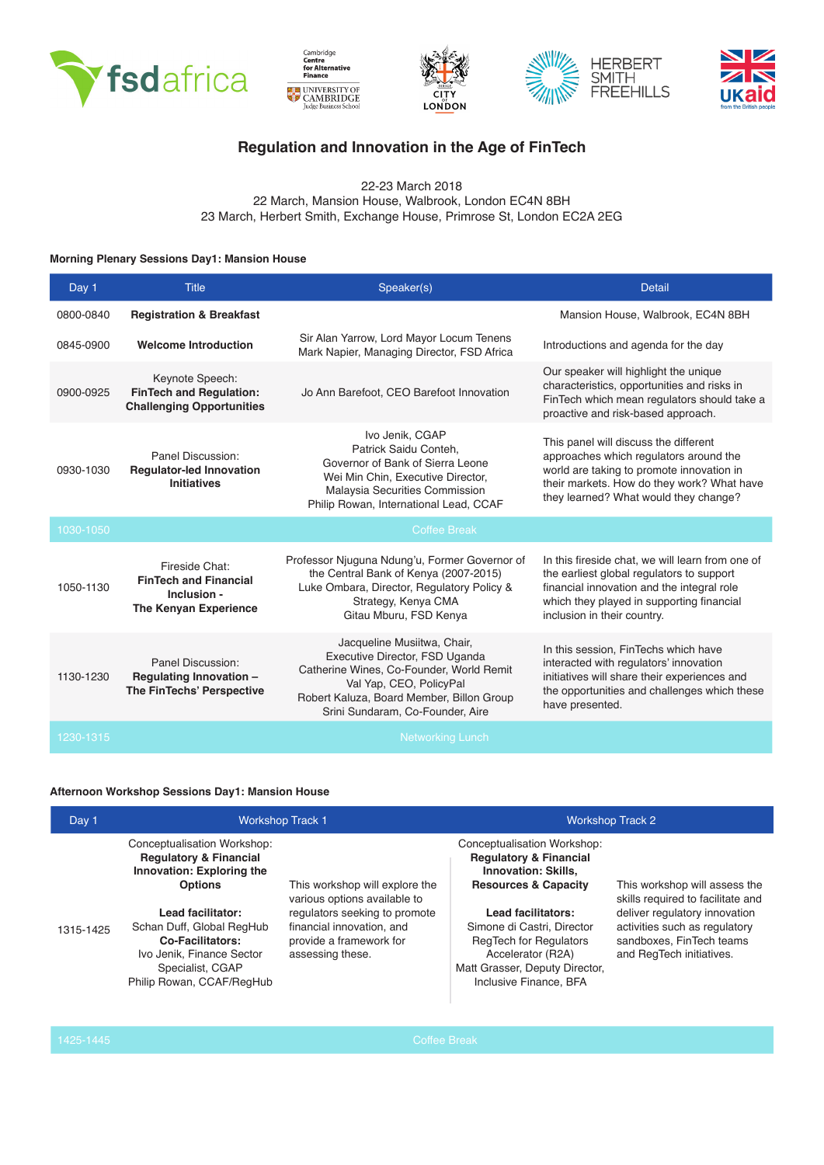









# **Regulation and Innovation in the Age of FinTech**

22-23 March 2018 22 March, Mansion House, Walbrook, London EC4N 8BH 23 March, Herbert Smith, Exchange House, Primrose St, London EC2A 2EG

### **Morning Plenary Sessions Day1: Mansion House**

| Day 1     | <b>Title</b>                                                                                  | Speaker(s)<br><b>Detail</b>                                                                                                                                                                                           |                                                                                                                                                                                                                         |
|-----------|-----------------------------------------------------------------------------------------------|-----------------------------------------------------------------------------------------------------------------------------------------------------------------------------------------------------------------------|-------------------------------------------------------------------------------------------------------------------------------------------------------------------------------------------------------------------------|
| 0800-0840 | <b>Registration &amp; Breakfast</b>                                                           |                                                                                                                                                                                                                       | Mansion House, Walbrook, EC4N 8BH                                                                                                                                                                                       |
| 0845-0900 | <b>Welcome Introduction</b>                                                                   | Sir Alan Yarrow, Lord Mayor Locum Tenens<br>Mark Napier, Managing Director, FSD Africa                                                                                                                                | Introductions and agenda for the day                                                                                                                                                                                    |
| 0900-0925 | Keynote Speech:<br><b>FinTech and Requlation:</b><br><b>Challenging Opportunities</b>         | Jo Ann Barefoot, CEO Barefoot Innovation                                                                                                                                                                              | Our speaker will highlight the unique<br>characteristics, opportunities and risks in<br>FinTech which mean regulators should take a<br>proactive and risk-based approach.                                               |
| 0930-1030 | Panel Discussion:<br><b>Regulator-led Innovation</b><br><b>Initiatives</b>                    | Ivo Jenik, CGAP<br>Patrick Saidu Conteh,<br>Governor of Bank of Sierra Leone<br>Wei Min Chin, Executive Director,<br>Malaysia Securities Commission<br>Philip Rowan, International Lead, CCAF                         | This panel will discuss the different<br>approaches which regulators around the<br>world are taking to promote innovation in<br>their markets. How do they work? What have<br>they learned? What would they change?     |
| 1030-1050 |                                                                                               | <b>Coffee Break</b>                                                                                                                                                                                                   |                                                                                                                                                                                                                         |
| 1050-1130 | Fireside Chat:<br><b>FinTech and Financial</b><br>Inclusion -<br><b>The Kenyan Experience</b> | Professor Njuguna Ndung'u, Former Governor of<br>the Central Bank of Kenya (2007-2015)<br>Luke Ombara, Director, Regulatory Policy &<br>Strategy, Kenya CMA<br>Gitau Mburu, FSD Kenya                                 | In this fireside chat, we will learn from one of<br>the earliest global regulators to support<br>financial innovation and the integral role<br>which they played in supporting financial<br>inclusion in their country. |
| 1130-1230 | Panel Discussion:<br>Regulating Innovation -<br>The FinTechs' Perspective                     | Jacqueline Musiitwa, Chair,<br>Executive Director, FSD Uganda<br>Catherine Wines, Co-Founder, World Remit<br>Val Yap, CEO, PolicyPal<br>Robert Kaluza, Board Member, Billon Group<br>Srini Sundaram, Co-Founder, Aire | In this session, FinTechs which have<br>interacted with regulators' innovation<br>initiatives will share their experiences and<br>the opportunities and challenges which these<br>have presented.                       |
| 1230-1315 |                                                                                               | <b>Networking Lunch</b>                                                                                                                                                                                               |                                                                                                                                                                                                                         |

#### **Afternoon Workshop Sessions Day1: Mansion House**

| Day 1     | <b>Workshop Track 1</b>                                                                                                                                                                                                                                                    |                                                                                                                                                                             | <b>Workshop Track 2</b>                                                                                                                                                                                                                                                                                 |                                                                                                                                                                                              |
|-----------|----------------------------------------------------------------------------------------------------------------------------------------------------------------------------------------------------------------------------------------------------------------------------|-----------------------------------------------------------------------------------------------------------------------------------------------------------------------------|---------------------------------------------------------------------------------------------------------------------------------------------------------------------------------------------------------------------------------------------------------------------------------------------------------|----------------------------------------------------------------------------------------------------------------------------------------------------------------------------------------------|
| 1315-1425 | Conceptualisation Workshop:<br><b>Requlatory &amp; Financial</b><br>Innovation: Exploring the<br><b>Options</b><br>Lead facilitator:<br>Schan Duff, Global RegHub<br><b>Co-Facilitators:</b><br>Ivo Jenik, Finance Sector<br>Specialist, CGAP<br>Philip Rowan, CCAF/RegHub | This workshop will explore the<br>various options available to<br>regulators seeking to promote<br>financial innovation, and<br>provide a framework for<br>assessing these. | Conceptualisation Workshop:<br><b>Requlatory &amp; Financial</b><br><b>Innovation: Skills.</b><br><b>Resources &amp; Capacity</b><br>Lead facilitators:<br>Simone di Castri, Director<br><b>RegTech for Regulators</b><br>Accelerator (R2A)<br>Matt Grasser, Deputy Director,<br>Inclusive Finance, BFA | This workshop will assess the<br>skills required to facilitate and<br>deliver regulatory innovation<br>activities such as regulatory<br>sandboxes. FinTech teams<br>and RegTech initiatives. |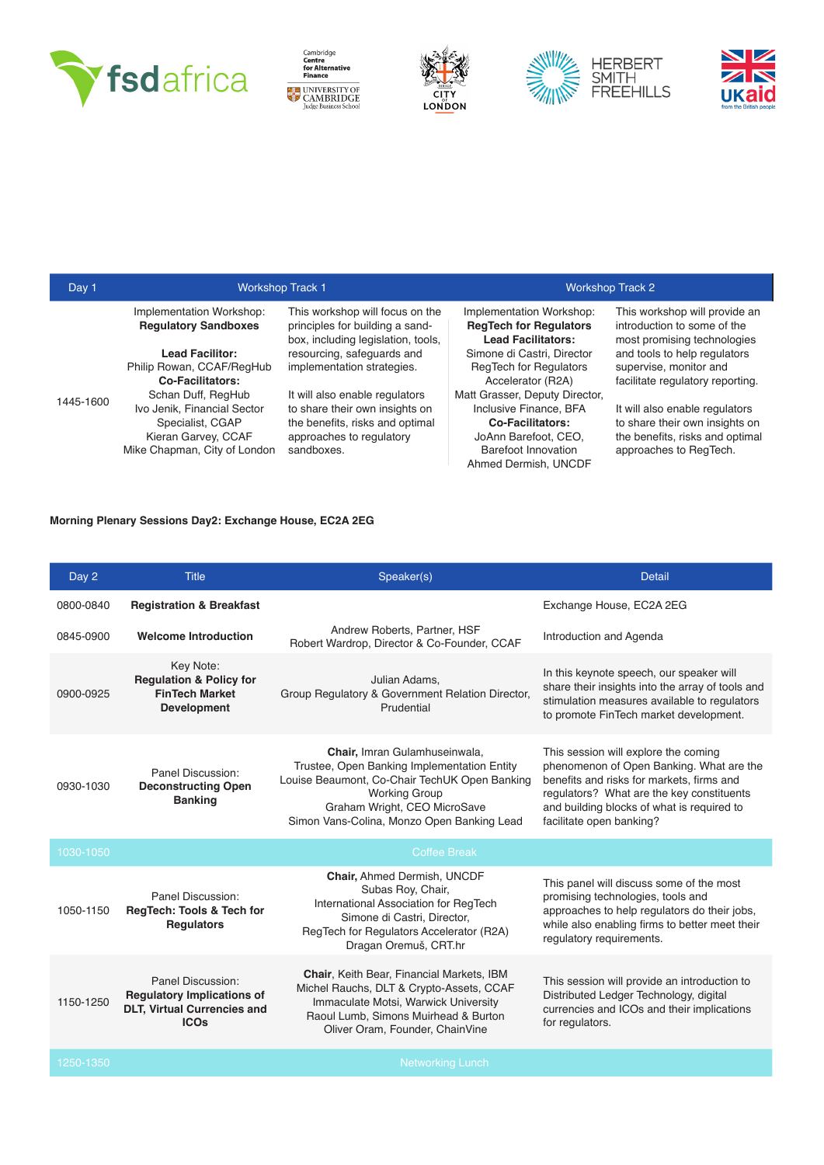

I









| Day 1     | <b>Workshop Track 1</b>                                 |                                                                                                          |                                                                                        | <b>Workshop Track 2</b>                                                                     |
|-----------|---------------------------------------------------------|----------------------------------------------------------------------------------------------------------|----------------------------------------------------------------------------------------|---------------------------------------------------------------------------------------------|
|           | Implementation Workshop:<br><b>Requlatory Sandboxes</b> | This workshop will focus on the<br>principles for building a sand-<br>box, including legislation, tools, | Implementation Workshop:<br><b>RegTech for Regulators</b><br><b>Lead Facilitators:</b> | This workshop will provide an<br>introduction to some of the<br>most promising technologies |
| 1445-1600 | <b>Lead Facilitor:</b>                                  | resourcing, safeguards and                                                                               | Simone di Castri, Director                                                             | and tools to help regulators                                                                |
|           | Philip Rowan, CCAF/RegHub                               | implementation strategies.                                                                               | <b>RegTech for Regulators</b>                                                          | supervise, monitor and                                                                      |
|           | <b>Co-Facilitators:</b>                                 |                                                                                                          | Accelerator (R2A)                                                                      | facilitate regulatory reporting.                                                            |
|           | Schan Duff, RegHub                                      | It will also enable regulators                                                                           | Matt Grasser, Deputy Director,                                                         |                                                                                             |
|           | Ivo Jenik. Financial Sector                             | to share their own insights on                                                                           | Inclusive Finance, BFA                                                                 | It will also enable regulators                                                              |
|           | Specialist, CGAP                                        | the benefits, risks and optimal                                                                          | <b>Co-Facilitators:</b>                                                                | to share their own insights on                                                              |
|           | Kieran Garvey, CCAF                                     | approaches to regulatory                                                                                 | JoAnn Barefoot, CEO,                                                                   | the benefits, risks and optimal                                                             |
|           | Mike Chapman, City of London                            | sandboxes.                                                                                               | Barefoot Innovation                                                                    | approaches to RegTech.                                                                      |
|           |                                                         |                                                                                                          | Ahmed Dermish, UNCDF                                                                   |                                                                                             |

#### **Morning Plenary Sessions Day2: Exchange House, EC2A 2EG**

| Day 2     | <b>Title</b>                                                                                                | Speaker(s)                                                                                                                                                                                                                          | <b>Detail</b>                                                                                                                                                                                                                                        |
|-----------|-------------------------------------------------------------------------------------------------------------|-------------------------------------------------------------------------------------------------------------------------------------------------------------------------------------------------------------------------------------|------------------------------------------------------------------------------------------------------------------------------------------------------------------------------------------------------------------------------------------------------|
| 0800-0840 | <b>Registration &amp; Breakfast</b>                                                                         |                                                                                                                                                                                                                                     | Exchange House, EC2A 2EG                                                                                                                                                                                                                             |
| 0845-0900 | <b>Welcome Introduction</b>                                                                                 | Andrew Roberts, Partner, HSF<br>Robert Wardrop, Director & Co-Founder, CCAF                                                                                                                                                         | Introduction and Agenda                                                                                                                                                                                                                              |
| 0900-0925 | Key Note:<br><b>Requlation &amp; Policy for</b><br><b>FinTech Market</b><br><b>Development</b>              | Julian Adams.<br>Group Regulatory & Government Relation Director,<br>Prudential                                                                                                                                                     | In this keynote speech, our speaker will<br>share their insights into the array of tools and<br>stimulation measures available to regulators<br>to promote FinTech market development.                                                               |
| 0930-1030 | Panel Discussion:<br><b>Deconstructing Open</b><br><b>Banking</b>                                           | Chair, Imran Gulamhuseinwala,<br>Trustee, Open Banking Implementation Entity<br>Louise Beaumont, Co-Chair TechUK Open Banking<br><b>Working Group</b><br>Graham Wright, CEO MicroSave<br>Simon Vans-Colina, Monzo Open Banking Lead | This session will explore the coming<br>phenomenon of Open Banking. What are the<br>benefits and risks for markets, firms and<br>regulators? What are the key constituents<br>and building blocks of what is required to<br>facilitate open banking? |
| 1030-1050 |                                                                                                             | <b>Coffee Break</b>                                                                                                                                                                                                                 |                                                                                                                                                                                                                                                      |
| 1050-1150 | Panel Discussion:<br>RegTech: Tools & Tech for<br><b>Regulators</b>                                         | Chair, Ahmed Dermish, UNCDF<br>Subas Roy, Chair,<br>International Association for RegTech<br>Simone di Castri, Director,<br>RegTech for Regulators Accelerator (R2A)<br>Dragan Oremuš, CRT.hr                                       | This panel will discuss some of the most<br>promising technologies, tools and<br>approaches to help regulators do their jobs,<br>while also enabling firms to better meet their<br>requlatory requirements.                                          |
| 1150-1250 | Panel Discussion:<br><b>Regulatory Implications of</b><br><b>DLT, Virtual Currencies and</b><br><b>ICOs</b> | <b>Chair, Keith Bear, Financial Markets, IBM</b><br>Michel Rauchs, DLT & Crypto-Assets, CCAF<br>Immaculate Motsi, Warwick University<br>Raoul Lumb, Simons Muirhead & Burton<br>Oliver Oram, Founder, ChainVine                     | This session will provide an introduction to<br>Distributed Ledger Technology, digital<br>currencies and ICOs and their implications<br>for regulators.                                                                                              |
| 1250-1350 |                                                                                                             | <b>Networking Lunch</b>                                                                                                                                                                                                             |                                                                                                                                                                                                                                                      |